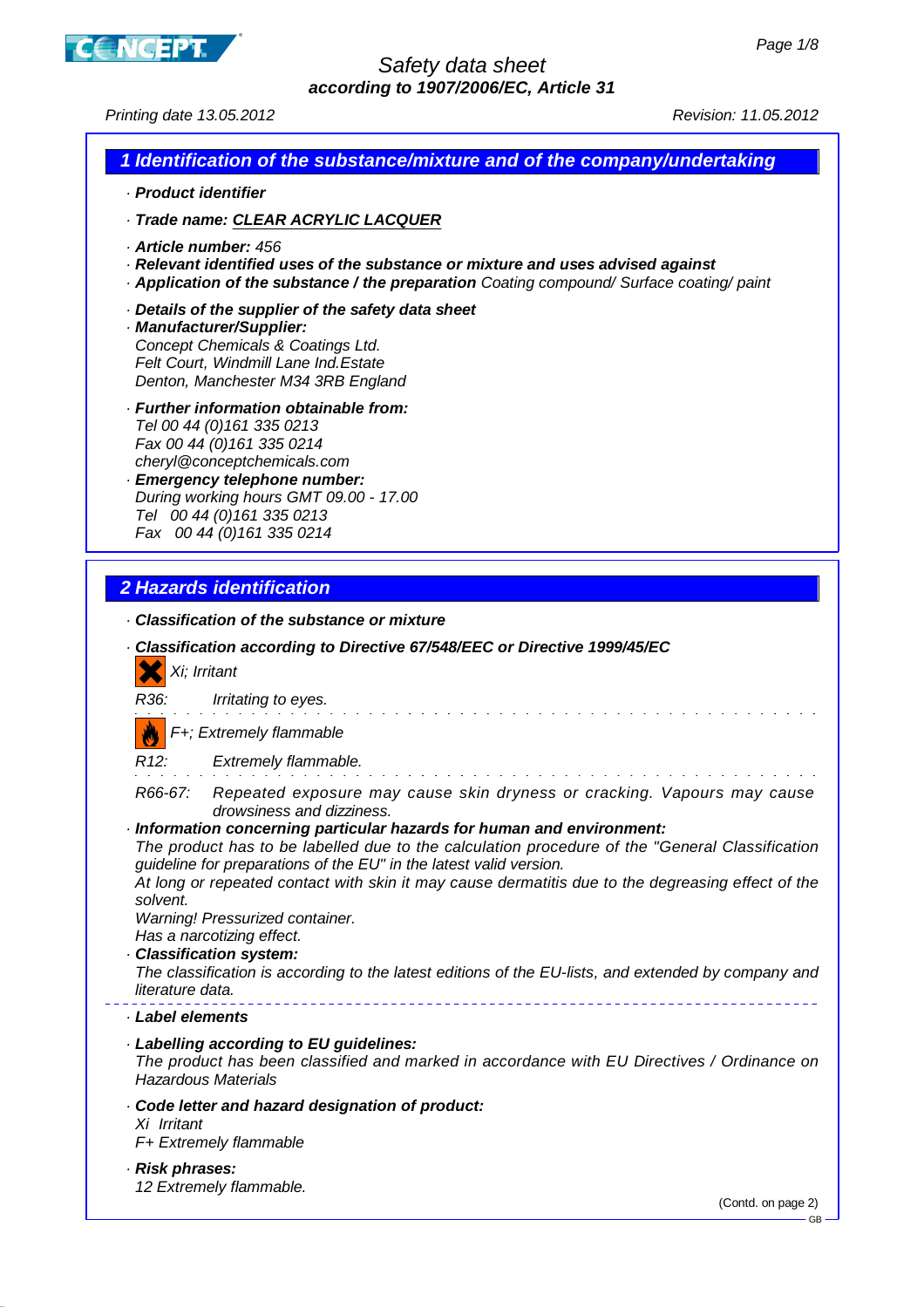

Printing date 13.05.2012 Revision: 11.05.2012

#### **1 Identification of the substance/mixture and of the company/undertaking**

- · **Product identifier**
- · **Trade name: CLEAR ACRYLIC LACQUER**
- · **Article number:** 456
- · **Relevant identified uses of the substance or mixture and uses advised against**
- · **Application of the substance / the preparation** Coating compound/ Surface coating/ paint
- · **Details of the supplier of the safety data sheet**
- · **Manufacturer/Supplier:** Concept Chemicals & Coatings Ltd. Felt Court, Windmill Lane Ind.Estate Denton, Manchester M34 3RB England
- · **Further information obtainable from:** Tel 00 44 (0)161 335 0213 Fax 00 44 (0) 161 335 0214 cheryl@conceptchemicals.com
- · **Emergency telephone number:** During working hours GMT 09.00 - 17.00 Tel 00 44 (0)161 335 0213 Fax 00 44 (0)161 335 0214

### **2 Hazards identification**

· **Classification of the substance or mixture**

| Xi; Irritant                                                                                                                                                        | · Classification according to Directive 67/548/EEC or Directive 1999/45/EC                                                                                                                                                                                                                                                                                                                                                                                                                                                                                                 |
|---------------------------------------------------------------------------------------------------------------------------------------------------------------------|----------------------------------------------------------------------------------------------------------------------------------------------------------------------------------------------------------------------------------------------------------------------------------------------------------------------------------------------------------------------------------------------------------------------------------------------------------------------------------------------------------------------------------------------------------------------------|
| R36:                                                                                                                                                                | Irritating to eyes.                                                                                                                                                                                                                                                                                                                                                                                                                                                                                                                                                        |
|                                                                                                                                                                     | F+; Extremely flammable                                                                                                                                                                                                                                                                                                                                                                                                                                                                                                                                                    |
| R12: Extremely flammable.                                                                                                                                           |                                                                                                                                                                                                                                                                                                                                                                                                                                                                                                                                                                            |
| solvent.<br>Warning! Pressurized container.<br>Has a narcotizing effect.<br>· Classification system:<br>literature data.                                            | R66-67: Repeated exposure may cause skin dryness or cracking. Vapours may cause<br>drowsiness and dizziness.<br>· Information concerning particular hazards for human and environment:<br>The product has to be labelled due to the calculation procedure of the "General Classification<br>guideline for preparations of the EU" in the latest valid version.<br>At long or repeated contact with skin it may cause dermatitis due to the degreasing effect of the<br>The classification is according to the latest editions of the EU-lists, and extended by company and |
| Label elements                                                                                                                                                      |                                                                                                                                                                                                                                                                                                                                                                                                                                                                                                                                                                            |
| · Labelling according to EU guidelines:<br>The product has been classified and marked in accordance with EU Directives / Ordinance on<br><b>Hazardous Materials</b> |                                                                                                                                                                                                                                                                                                                                                                                                                                                                                                                                                                            |
| Xi Irritant<br>F+ Extremely flammable                                                                                                                               | Code letter and hazard designation of product:                                                                                                                                                                                                                                                                                                                                                                                                                                                                                                                             |
| · Risk phrases:<br>12 Extremely flammable.                                                                                                                          | (Contd. on page 2)<br>$-$ GB -                                                                                                                                                                                                                                                                                                                                                                                                                                                                                                                                             |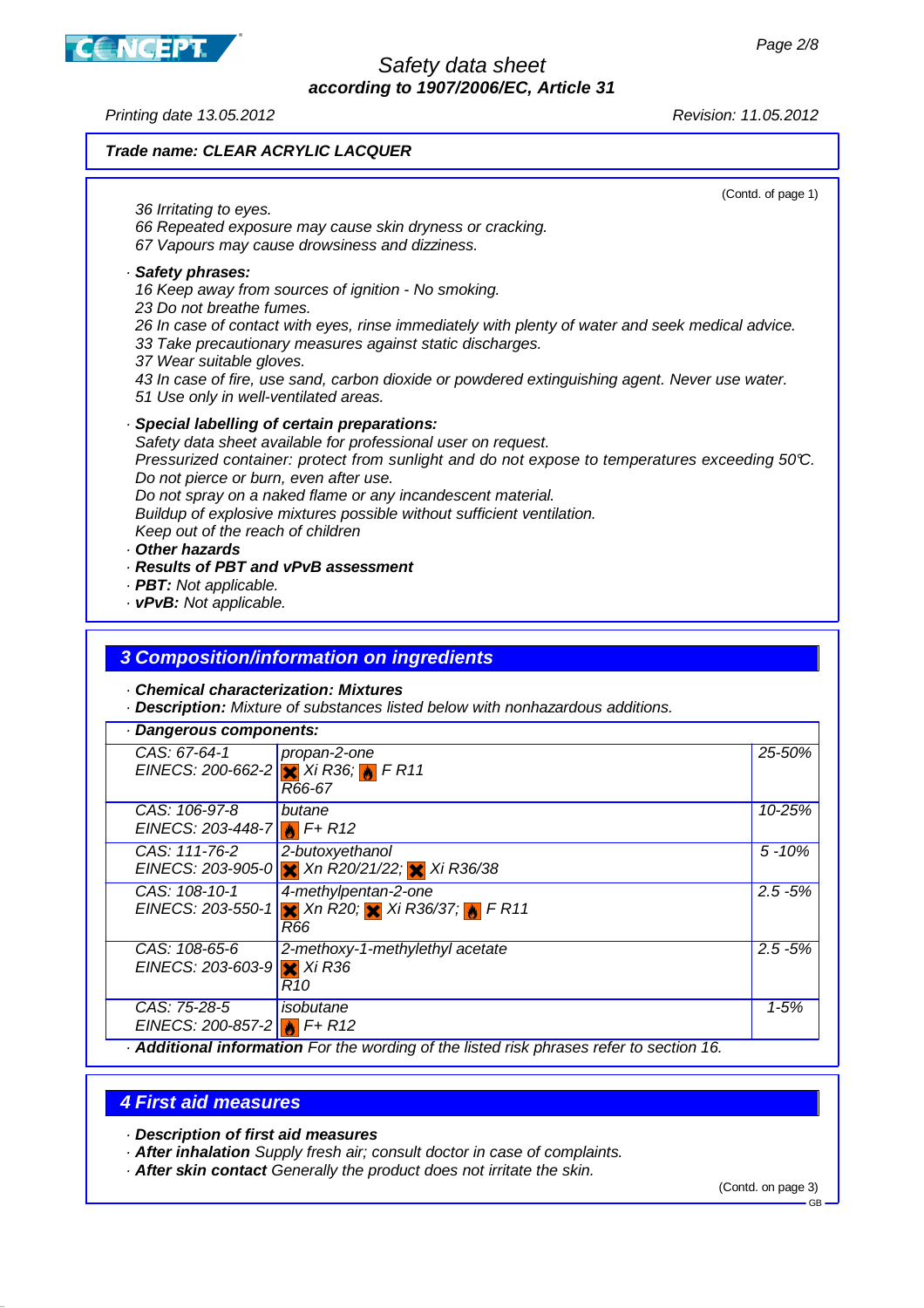Printing date 13.05.2012 Revision: 11.05.2012

**CANCEPT** 

#### **Trade name: CLEAR ACRYLIC LACQUER**

(Contd. of page 1) 36 Irritating to eyes. 66 Repeated exposure may cause skin dryness or cracking. 67 Vapours may cause drowsiness and dizziness. · **Safety phrases:** 16 Keep away from sources of ignition - No smoking. 23 Do not breathe fumes. 26 In case of contact with eyes, rinse immediately with plenty of water and seek medical advice. 33 Take precautionary measures against static discharges. 37 Wear suitable gloves. 43 In case of fire, use sand, carbon dioxide or powdered extinguishing agent. Never use water. 51 Use only in well-ventilated areas. · **Special labelling of certain preparations:** Safety data sheet available for professional user on request. Pressurized container: protect from sunlight and do not expose to temperatures exceeding 50°C. Do not pierce or burn, even after use. Do not spray on a naked flame or any incandescent material. Buildup of explosive mixtures possible without sufficient ventilation. Keep out of the reach of children · **Other hazards** · **Results of PBT and vPvB assessment** · **PBT:** Not applicable. · **vPvB:** Not applicable.

## **3 Composition/information on ingredients**

· **Chemical characterization: Mixtures**

· **Description:** Mixture of substances listed below with nonhazardous additions.

| · Dangerous components:                                      |                                                                                                                              |            |
|--------------------------------------------------------------|------------------------------------------------------------------------------------------------------------------------------|------------|
| CAS: 67-64-1                                                 | propan-2-one<br>EINECS: 200-662-2 $\frac{1}{2}$ Xi R36; $\frac{1}{2}$ F R11<br>R66-67                                        | 25-50%     |
| CAS: 106-97-8<br>EINECS: 203-448-7 <b>A</b> $F + R12$        | butane                                                                                                                       | 10-25%     |
| CAS: 111-76-2                                                | 2-butoxyethanol<br>EINECS: 203-905-0 X Xn R20/21/22; X Xi R36/38                                                             | $5 - 10%$  |
| CAS: 108-10-1<br>EINECS: 203-550-1                           | 4-methylpentan-2-one<br>$\mathsf{X}$ Xn R20; $\mathsf{X}$ Xi R36/37; $\mathsf{X}$ F R11<br>R66                               | $2.5 - 5%$ |
| CAS: 108-65-6<br>EINECS: 203-603-9 $\times$ Xi R36           | 2-methoxy-1-methylethyl acetate<br>R10                                                                                       | $2.5 - 5%$ |
| CAS: 75-28-5<br>EINECS: 200-857-2 $\frac{1}{10}$ F+ R12<br>. | isobutane<br>$\cdot$ $\cdot$ $\cdot$ $\cdot$<br>$\cdot$ $\cdot$<br>$\mathbf{r}$ , $\mathbf{r}$ , $\mathbf{r}$ , $\mathbf{r}$ | $1 - 5%$   |

· **Additional information** For the wording of the listed risk phrases refer to section 16.

#### **4 First aid measures**

· **Description of first aid measures**

- · **After inhalation** Supply fresh air; consult doctor in case of complaints.
- · **After skin contact** Generally the product does not irritate the skin.

(Contd. on page 3)

GB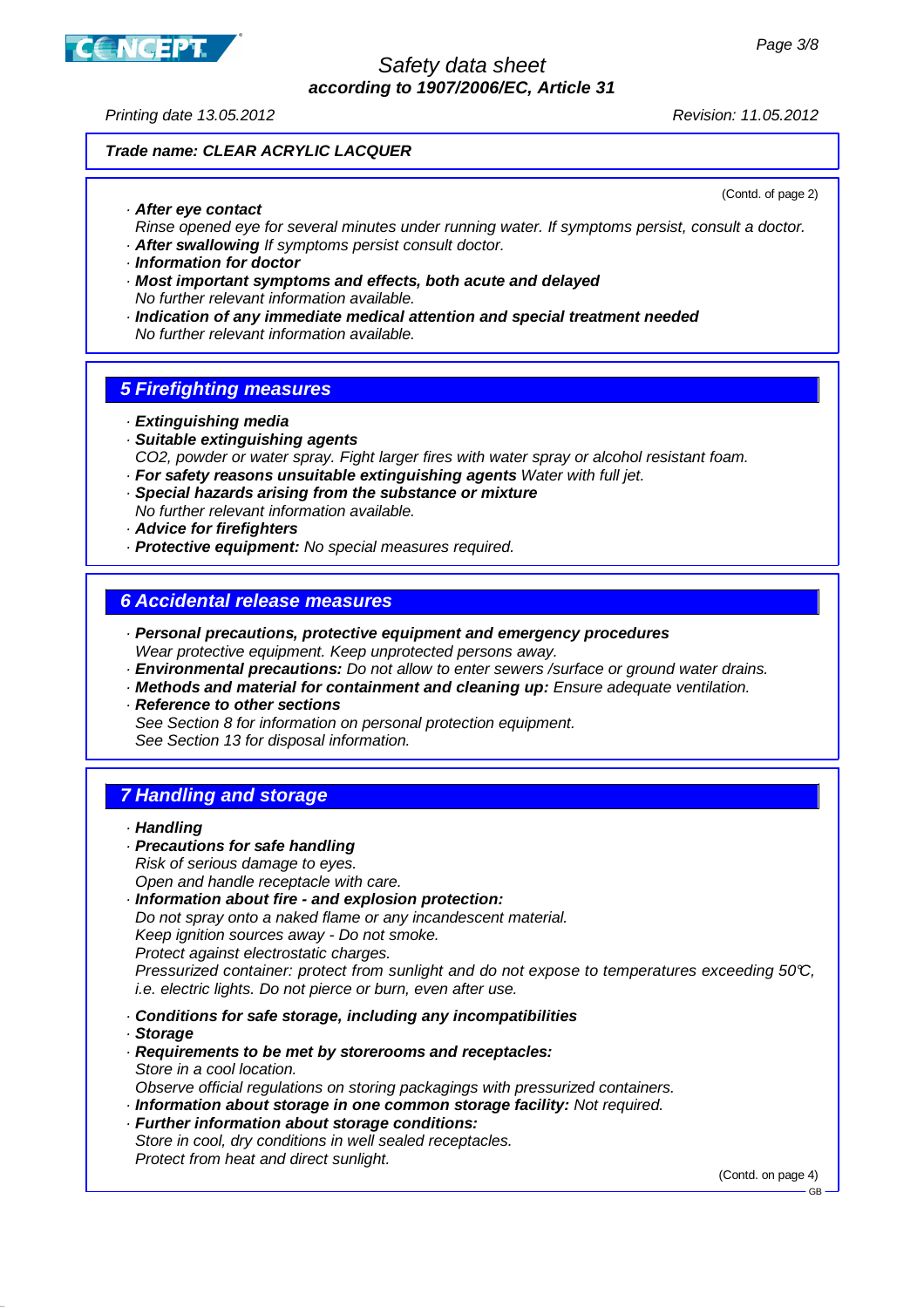

Printing date 13.05.2012 Revision: 11.05.2012

(Contd. of page 2)

### **Trade name: CLEAR ACRYLIC LACQUER**

· **After eye contact**

Rinse opened eye for several minutes under running water. If symptoms persist, consult a doctor. · **After swallowing** If symptoms persist consult doctor.

- · **Information for doctor**
- · **Most important symptoms and effects, both acute and delayed** No further relevant information available.
- · **Indication of any immediate medical attention and special treatment needed** No further relevant information available.

### **5 Firefighting measures**

- · **Extinguishing media**
- · **Suitable extinguishing agents** CO2, powder or water spray. Fight larger fires with water spray or alcohol resistant foam.
- · **For safety reasons unsuitable extinguishing agents** Water with full jet.
- · **Special hazards arising from the substance or mixture** No further relevant information available.
- · **Advice for firefighters**
- · **Protective equipment:** No special measures required.

#### **6 Accidental release measures**

- · **Personal precautions, protective equipment and emergency procedures** Wear protective equipment. Keep unprotected persons away.
- · **Environmental precautions:** Do not allow to enter sewers /surface or ground water drains.
- · **Methods and material for containment and cleaning up:** Ensure adequate ventilation.
- · **Reference to other sections**
	- See Section 8 for information on personal protection equipment.
	- See Section 13 for disposal information.

# **7 Handling and storage**

· **Precautions for safe handling** Risk of serious damage to eyes.

Open and handle receptacle with care.

· **Information about fire - and explosion protection:**

Do not spray onto a naked flame or any incandescent material.

Keep ignition sources away - Do not smoke.

Protect against electrostatic charges.

Pressurized container: protect from sunlight and do not expose to temperatures exceeding 50°C, i.e. electric lights. Do not pierce or burn, even after use.

· **Conditions for safe storage, including any incompatibilities**

- · **Storage**
- · **Requirements to be met by storerooms and receptacles:** Store in a cool location.
- Observe official regulations on storing packagings with pressurized containers.
- · **Information about storage in one common storage facility:** Not required.
- · **Further information about storage conditions:** Store in cool, dry conditions in well sealed receptacles. Protect from heat and direct sunlight.

(Contd. on page 4)

GB

<sup>·</sup> **Handling**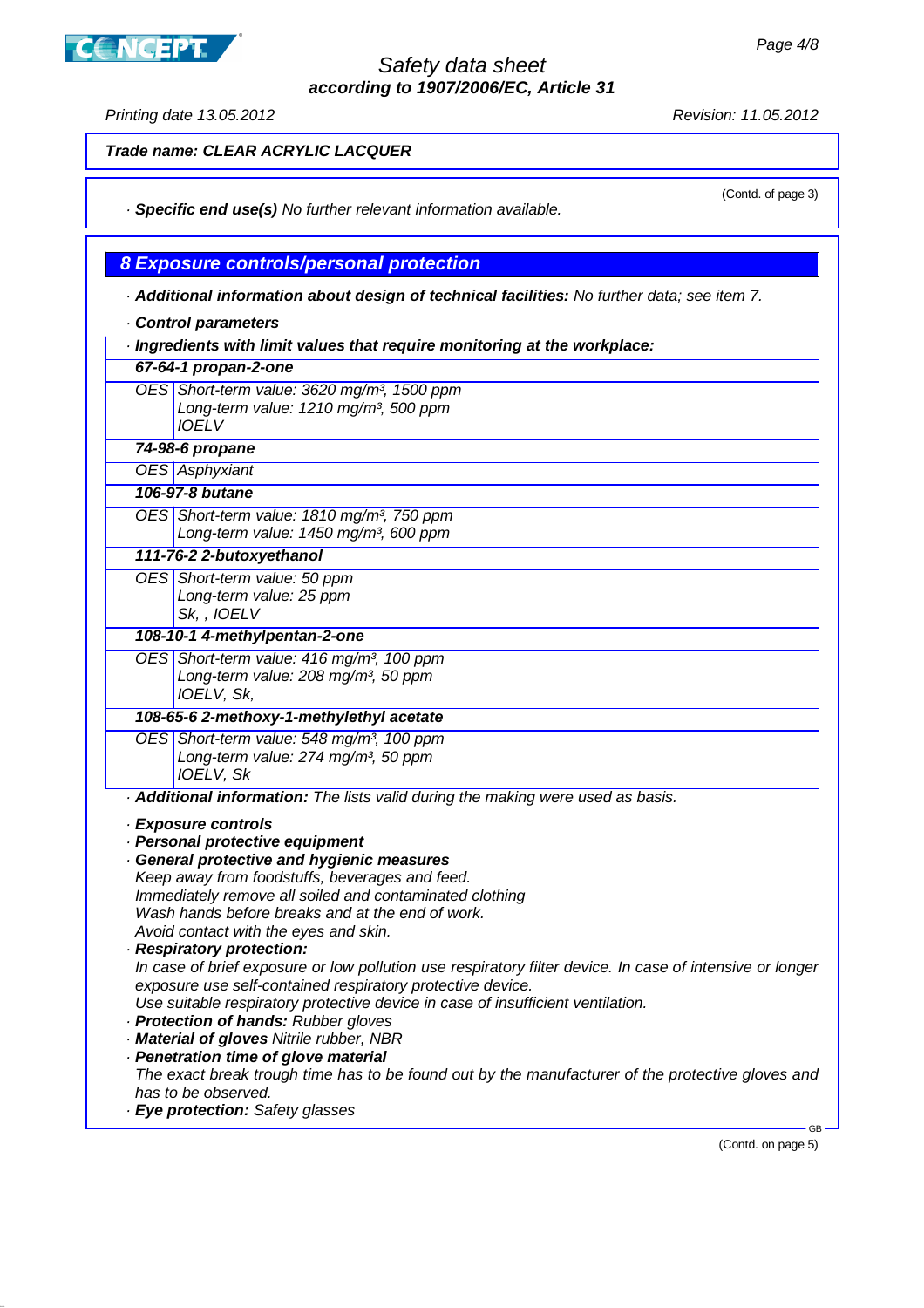**CNCEPT** 

Printing date 13.05.2012 Revision: 11.05.2012

(Contd. of page 3)

**Trade name: CLEAR ACRYLIC LACQUER**

· **Specific end use(s)** No further relevant information available.

**8 Exposure controls/personal protection**

· **Additional information about design of technical facilities:** No further data; see item 7.

- · **Control parameters**
- · **Ingredients with limit values that require monitoring at the workplace:**

| 67-64-1 propan-2-one |                                                                                                                              |  |
|----------------------|------------------------------------------------------------------------------------------------------------------------------|--|
|                      | OES Short-term value: 3620 mg/m <sup>3</sup> , 1500 ppm<br>Long-term value: 1210 mg/m <sup>3</sup> , 500 ppm<br><b>IOELV</b> |  |
| 74-98-6 propane      |                                                                                                                              |  |

**OES** Asphyxiant

**106-97-8 butane**

OES Short-term value: 1810 mg/m<sup>3</sup>, 750 ppm Long-term value: 1450 mg/m<sup>3</sup>, 600 ppm

**111-76-2 2-butoxyethanol**

OES Short-term value: 50 ppm Long-term value: 25 ppm Sk, , IOELV

**108-10-1 4-methylpentan-2-one**

OES Short-term value: 416 mg/m<sup>3</sup>, 100 ppm Long-term value:  $208$  mg/m<sup>3</sup>, 50 ppm IOELV, Sk,

**108-65-6 2-methoxy-1-methylethyl acetate**

OES Short-term value: 548 mg/m<sup>3</sup>, 100 ppm Long-term value: 274 mg/m<sup>3</sup>, 50 ppm IOELV, Sk

· **Additional information:** The lists valid during the making were used as basis.

· **Exposure controls**

· **Personal protective equipment**

· **General protective and hygienic measures** Keep away from foodstuffs, beverages and feed. Immediately remove all soiled and contaminated clothing Wash hands before breaks and at the end of work.

Avoid contact with the eyes and skin. · **Respiratory protection:**

In case of brief exposure or low pollution use respiratory filter device. In case of intensive or longer exposure use self-contained respiratory protective device.

Use suitable respiratory protective device in case of insufficient ventilation.

- · **Protection of hands:** Rubber gloves
- · **Material of gloves** Nitrile rubber, NBR

· **Penetration time of glove material** The exact break trough time has to be found out by the manufacturer of the protective gloves and has to be observed.

· **Eye protection:** Safety glasses

(Contd. on page 5)

GB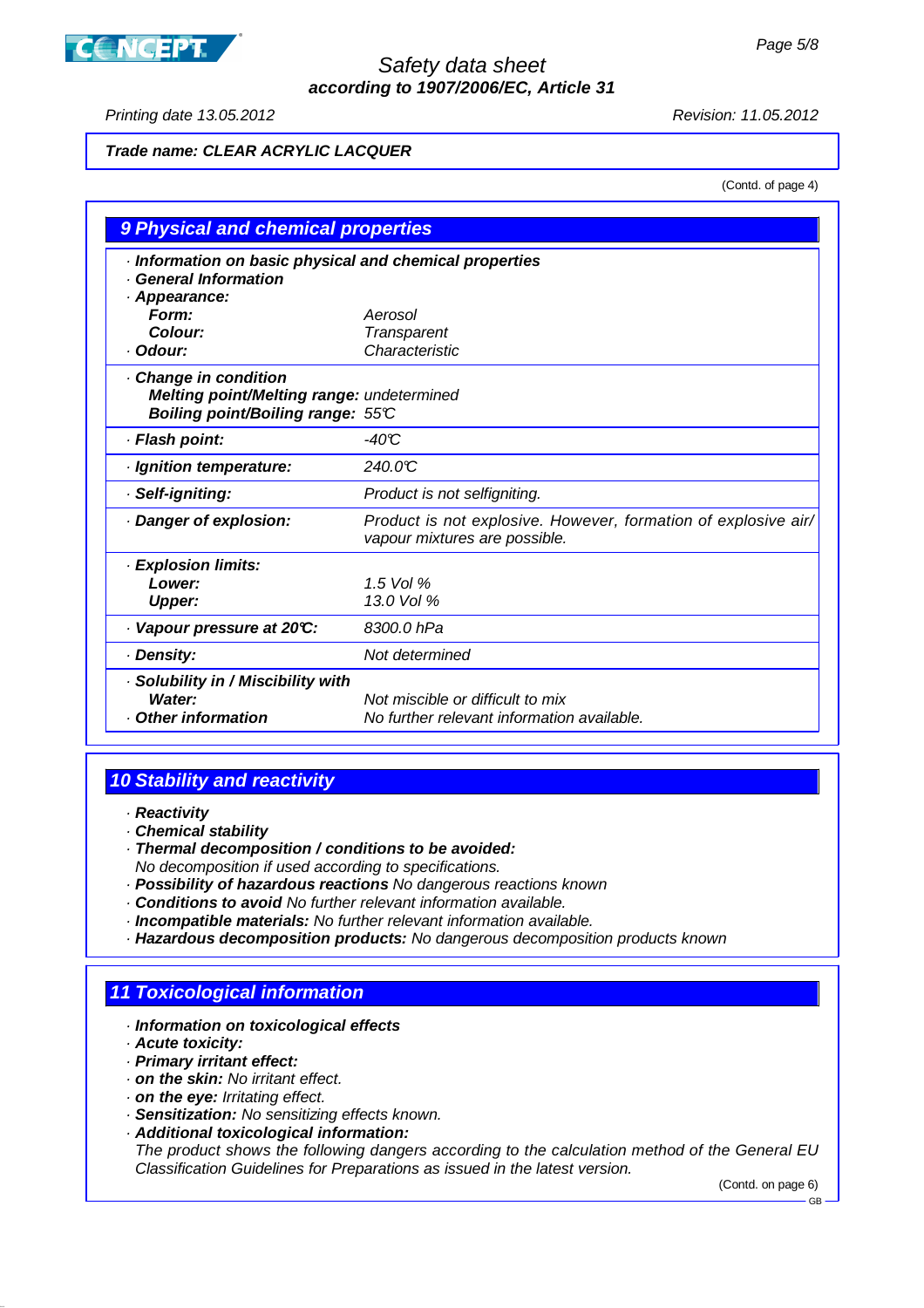# **CONCEPT**

# Safety data sheet **according to 1907/2006/EC, Article 31**

Printing date 13.05.2012 Revision: 11.05.2012

# **Trade name: CLEAR ACRYLIC LACQUER**

(Contd. of page 4)

| 9 Physical and chemical properties                                                                           |                                                                                                 |  |
|--------------------------------------------------------------------------------------------------------------|-------------------------------------------------------------------------------------------------|--|
| Information on basic physical and chemical properties<br><b>General Information</b><br>· Appearance:         |                                                                                                 |  |
| Form:<br>Colour:                                                                                             | Aerosol                                                                                         |  |
| · Odour:                                                                                                     | <b>Transparent</b><br>Characteristic                                                            |  |
| Change in condition<br><b>Melting point/Melting range: undetermined</b><br>Boiling point/Boiling range: 55°C |                                                                                                 |  |
| · Flash point:                                                                                               | $-40C$                                                                                          |  |
| · Ignition temperature:                                                                                      | 240.0°C                                                                                         |  |
| · Self-igniting:                                                                                             | Product is not selfigniting.                                                                    |  |
| Danger of explosion:                                                                                         | Product is not explosive. However, formation of explosive air/<br>vapour mixtures are possible. |  |
| · Explosion limits:                                                                                          |                                                                                                 |  |
| Lower:                                                                                                       | $1.5$ Vol %                                                                                     |  |
| <b>Upper:</b>                                                                                                | 13.0 Vol %                                                                                      |  |
| Vapour pressure at 20°C:                                                                                     | 8300.0 hPa                                                                                      |  |
| · Density:                                                                                                   | Not determined                                                                                  |  |
| · Solubility in / Miscibility with<br>Water:<br>Other information                                            | Not miscible or difficult to mix<br>No further relevant information available.                  |  |

# **10 Stability and reactivity**

- · **Reactivity**
- · **Chemical stability**
- · **Thermal decomposition / conditions to be avoided:**
- No decomposition if used according to specifications.
- · **Possibility of hazardous reactions** No dangerous reactions known
- · **Conditions to avoid** No further relevant information available.
- · **Incompatible materials:** No further relevant information available.
- · **Hazardous decomposition products:** No dangerous decomposition products known

# **11 Toxicological information**

- · **Information on toxicological effects**
- · **Acute toxicity:**
- · **Primary irritant effect:**
- · **on the skin:** No irritant effect.
- · **on the eye:** Irritating effect.
- · **Sensitization:** No sensitizing effects known.
- · **Additional toxicological information:**

The product shows the following dangers according to the calculation method of the General EU Classification Guidelines for Preparations as issued in the latest version.

(Contd. on page 6)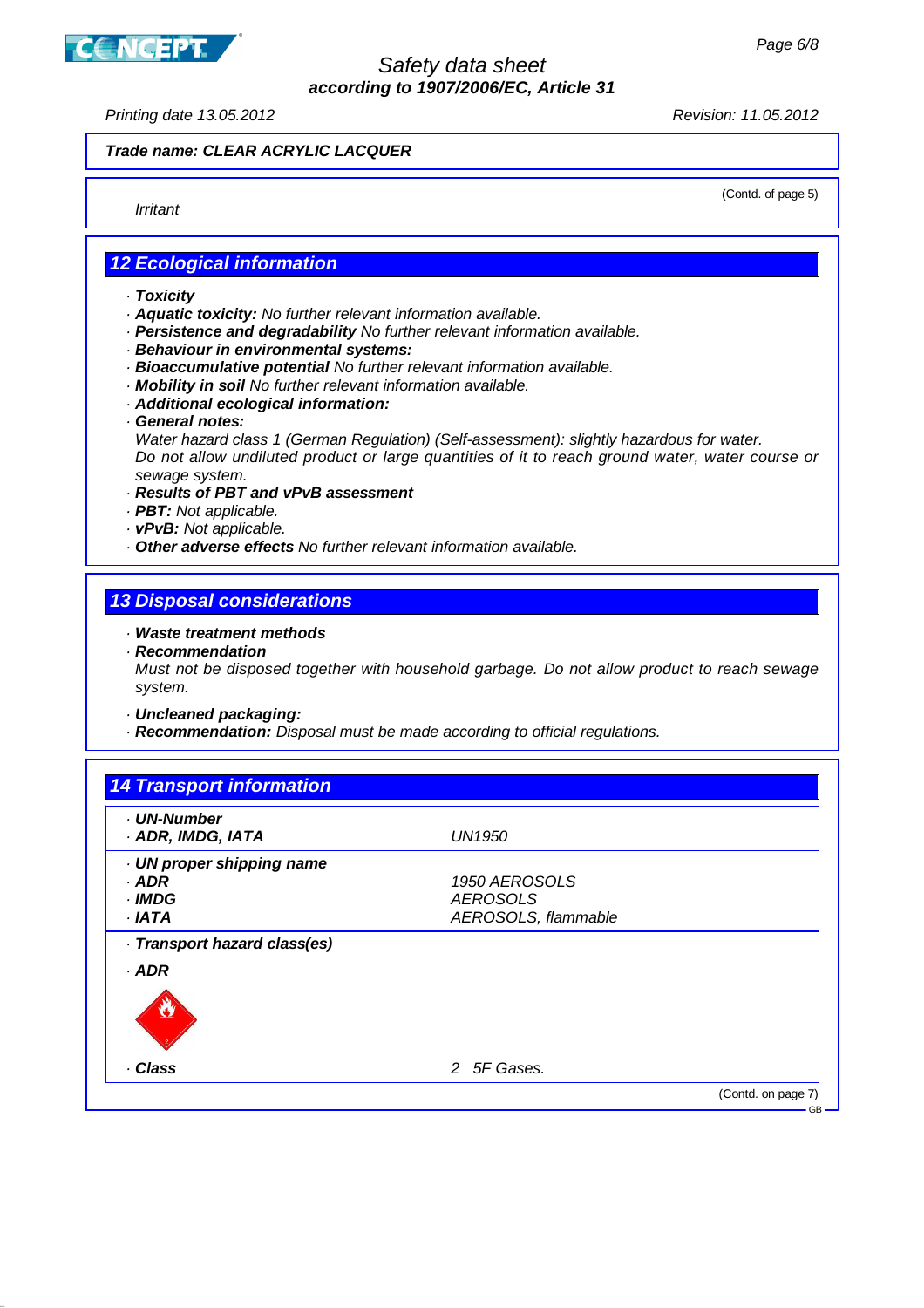

Printing date 13.05.2012 Revision: 11.05.2012

#### **Trade name: CLEAR ACRYLIC LACQUER**

Irritant

(Contd. of page 5)

#### **12 Ecological information**

- · **Toxicity**
- · **Aquatic toxicity:** No further relevant information available.
- · **Persistence and degradability** No further relevant information available.
- · **Behaviour in environmental systems:**
- · **Bioaccumulative potential** No further relevant information available.
- · **Mobility in soil** No further relevant information available.
- · **Additional ecological information:**
- · **General notes:**

Water hazard class 1 (German Regulation) (Self-assessment): slightly hazardous for water. Do not allow undiluted product or large quantities of it to reach ground water, water course or sewage system.

- · **Results of PBT and vPvB assessment**
- · **PBT:** Not applicable.
- · **vPvB:** Not applicable.
- · **Other adverse effects** No further relevant information available.

### **13 Disposal considerations**

- · **Waste treatment methods**
- · **Recommendation**

Must not be disposed together with household garbage. Do not allow product to reach sewage system.

- · **Uncleaned packaging:**
- · **Recommendation:** Disposal must be made according to official regulations.

| UN1950              |                                  |
|---------------------|----------------------------------|
|                     |                                  |
|                     |                                  |
|                     |                                  |
| AEROSOLS, flammable |                                  |
|                     |                                  |
|                     |                                  |
|                     |                                  |
|                     |                                  |
|                     |                                  |
| 2 5F Gases.         |                                  |
|                     | 1950 AEROSOLS<br><b>AEROSOLS</b> |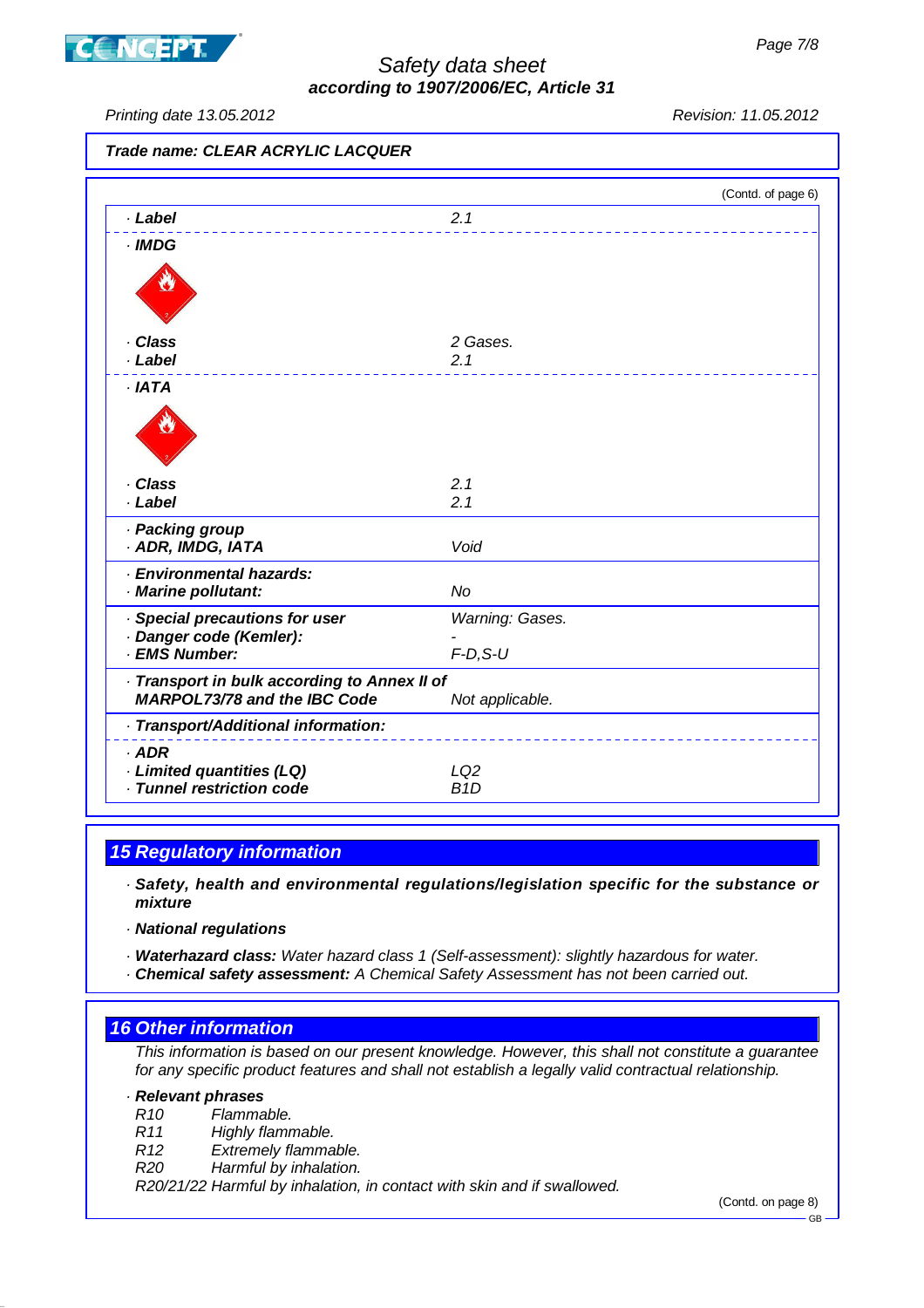

**CONCEPT** 

# Safety data sheet **according to 1907/2006/EC, Article 31**

Printing date 13.05.2012 Revision: 11.05.2012

**Trade name: CLEAR ACRYLIC LACQUER**

|                                                                                     |                  | (Contd. of page 6) |
|-------------------------------------------------------------------------------------|------------------|--------------------|
| · Label                                                                             | 2.1              |                    |
| $\cdot$ IMDG                                                                        |                  |                    |
|                                                                                     |                  |                    |
| · Class                                                                             | 2 Gases.         |                    |
| · Label                                                                             | 2.1              |                    |
| ·IATA                                                                               |                  |                    |
|                                                                                     |                  |                    |
| · Class                                                                             | 2.1              |                    |
| · Label                                                                             | 2.1              |                    |
| · Packing group                                                                     |                  |                    |
| · ADR, IMDG, IATA                                                                   | Void             |                    |
| · Environmental hazards:                                                            |                  |                    |
| · Marine pollutant:                                                                 | No               |                    |
| · Special precautions for user                                                      | Warning: Gases.  |                    |
| · Danger code (Kemler):<br>· EMS Number:                                            | $F-D, S-U$       |                    |
|                                                                                     |                  |                    |
| · Transport in bulk according to Annex II of<br><b>MARPOL73/78 and the IBC Code</b> | Not applicable.  |                    |
| · Transport/Additional information:                                                 |                  |                    |
| $·$ ADR                                                                             |                  |                    |
| · Limited quantities (LQ)                                                           | LQ <sub>2</sub>  |                    |
| · Tunnel restriction code                                                           | B <sub>1</sub> D |                    |

# **15 Regulatory information**

· **Safety, health and environmental regulations/legislation specific for the substance or mixture**

· **National regulations**

· **Waterhazard class:** Water hazard class 1 (Self-assessment): slightly hazardous for water.

· **Chemical safety assessment:** A Chemical Safety Assessment has not been carried out.

#### **16 Other information**

This information is based on our present knowledge. However, this shall not constitute a guarantee for any specific product features and shall not establish a legally valid contractual relationship.

#### · **Relevant phrases**

- R10 Flammable.
- R11 Highly flammable.
- R12 Extremely flammable.
- R20 Harmful by inhalation.

R20/21/22 Harmful by inhalation, in contact with skin and if swallowed.

(Contd. on page 8)

GB